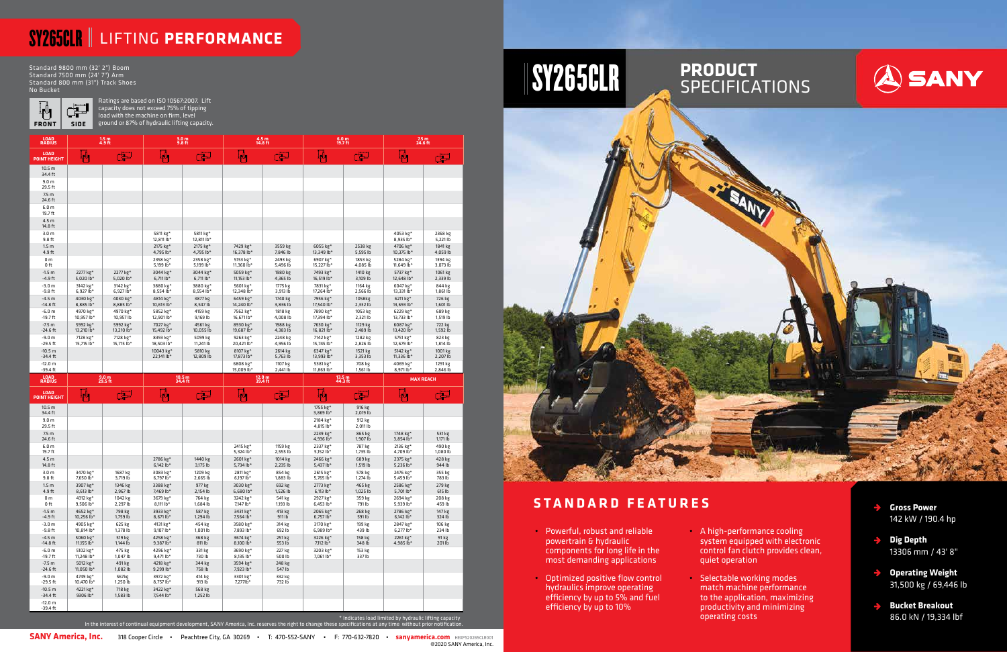- **Gross Power**  142 kW / 190.4 hp
- **Dig Depth** 13306 mm / 43' 8"
- **Operating Weight**  $\rightarrow$ 31,500 kg / 69,446 lb
- **Bucket Breakout** 86.0 kN / 19,334 lbf

### **STANDARD FEATURES**



Ratings are based on ISO 10567:2007. Lift capacity does not exceed 75% of tipping load with the machine on firm, level **FRONT** SIDE ground or 87% of hydraulic lifting capacity.

- Powerful, robust and reliable powertrain & hydraulic components for long life in the most demanding applications
- Optimized positive flow control hydraulics improve operating efficiency by up to 5% and fuel efficiency by up to 10%
- quiet operation
- Selectable working modes match machine performance to the application, maximizing productivity and minimizing operating costs



## SY265CLR LIFTING **PERFORMANCE**

Standard 9800 mm (32' 2") Boom Standard 7500 mm (24' 7") Arm Standard 800 mm (31") Track Shoes No Bucket



SANY America, Inc. 318 Cooper Circle • Peachtree City, GA 30269 • T: 470-552-SANY • F: 770-632-7820 • sanyamerica.com HEXPS20265CLR001 @2020 SANY America, Inc. • A high-performance cooling system equipped with electronic control fan clutch provides clean,

| LOAD<br>RADIUS                           |                         | $1.5m$<br>4.9 ft        | $3.0 m$<br>9.8 ft                   |                         |                                                                                                                                                                  | $4.5 m$<br>14.8 ft                |                                 | $6.0 m$<br>19.7 ft  | 7.5 m<br>24.6 ft                                       |                     |
|------------------------------------------|-------------------------|-------------------------|-------------------------------------|-------------------------|------------------------------------------------------------------------------------------------------------------------------------------------------------------|-----------------------------------|---------------------------------|---------------------|--------------------------------------------------------|---------------------|
| <b>LOAD</b><br><b>POINT HEIGHT</b>       | կ≬լ                     | æ                       | Ψ,                                  | ď                       | $\clubsuit$                                                                                                                                                      | نتی                               |                                 | لتبن                | 44                                                     | لكو                 |
| 10.5 <sub>m</sub><br>34.4 ft             |                         |                         |                                     |                         |                                                                                                                                                                  |                                   |                                 |                     |                                                        |                     |
| 9.0 <sub>m</sub><br>29.5 ft              |                         |                         |                                     |                         |                                                                                                                                                                  |                                   |                                 |                     |                                                        |                     |
| 7.5 <sub>m</sub><br>24.6 ft              |                         |                         |                                     |                         |                                                                                                                                                                  |                                   |                                 |                     |                                                        |                     |
| 6.0 <sub>m</sub><br>19.7 ft              |                         |                         |                                     |                         |                                                                                                                                                                  |                                   |                                 |                     |                                                        |                     |
| 4.5 m<br>14.8 ft                         |                         |                         |                                     |                         |                                                                                                                                                                  |                                   |                                 |                     |                                                        |                     |
| 3.0 <sub>m</sub><br>9.8 ft               |                         |                         | 5811 kg*<br>12,811 lb*              | 5811 kg*<br>12,811 lb*  |                                                                                                                                                                  |                                   |                                 |                     | 4053 kg*<br>8,935 lb*                                  | 2368 kg<br>5,221 lb |
| 1.5 <sub>m</sub><br>4.9 ft               |                         |                         | 2175 kg*<br>4,795 lb*               | 2175 kg*<br>4,795 lb*   | 7429 kg*<br>16,378 lb*                                                                                                                                           | 3559 kg<br>7,846 lb               | 6055 $kg*$<br>13,349 lb*        | 2538 kg<br>5,595 lb | 4706 kg*<br>10,375 lb*                                 | 1841 kg<br>4,059 lb |
| 0 <sub>m</sub><br>0 ft                   |                         |                         | 2358 kg*<br>5,199 lb*               | 2358 kg*<br>5,199 lb*   | 5153 kg*<br>11,360 lb*                                                                                                                                           | 2493 kg<br>5,496 lb               | 6907 kg*<br>15,227 lb*          | 1853 kg<br>4,085 lb | 5284 kg*<br>11,649 lb*                                 | 1394 kg<br>3,073 lb |
| $-1.5 m$<br>$-4.9$ ft                    | 2277 kg*<br>5,020 $lb*$ | 2277 kg*<br>$5,020$ lb* | 3044 kg*<br>$6,711$ lb <sup>*</sup> | 3044 kg*<br>$6,711 lb*$ | 5059 kg*<br>11,153 lb*                                                                                                                                           | 1980 kg<br>4,365 lb               | 7493 kg*<br>16,519 lb*          | 1410 kg<br>3,109 lb | 5737 kg*<br>12,648 lb*                                 | 1061 kg<br>2,339 lb |
| $-3.0 m$<br>$-9.8$ ft                    | 3142 kg*<br>6,927 lb*   | 3142 kg*<br>$6,927$ lb* | 3880 kg*<br>8,554 lb*               | 3880 kg*<br>8,554 lb*   | 5601 kg*<br>12,348 lb*                                                                                                                                           | 1775 kg<br>3,913 lb               | 7831 kg*<br>17,264 lb*          | 1164 kg<br>2,566 lb | 6047 kg*<br>13,331 lb*                                 | 844 kg<br>1,861 lb  |
| $-4.5 m$<br>$-14.8$ ft                   | 4030 kg*<br>8,885 lb*   | 4030 kg*<br>8,885 lb*   | 4814 kg*<br>10,613 lb*              | 3877 kg<br>8,547 lb     | 6459 kg*<br>14,240 lb*                                                                                                                                           | 1740 kg<br>3,836 lb               | 7956 kg*<br>17,540 lb*          | 1058kg<br>2,332 lb  | 6211 kg*<br>13,693 lb*                                 | 726 kg<br>1,601 lb  |
| $-6.0 m$<br>$-19.7$ ft                   | 4970 kg*<br>10,957 lb*  | 4970 kg*<br>10,957 lb   | 5852 kg*<br>12,901 lb*              | 4159 kg<br>9,169 lb     | 7562 kg*<br>16,671 lb*                                                                                                                                           | 1818 kg<br>4,008 lb               | 7890 kg*<br>17,394 lb*          | 1053 kg<br>2,321 lb | 6229 kg*<br>13,733 lb*                                 | 689 kg<br>1,519 lb  |
| $-7.5 m$<br>$-24.6$ ft                   | 5992 kg*<br>13,210 lb*  | 5992 kg*<br>13,210 lb*  | 7027 kg*<br>15,492 lb*              | 4561 kg<br>10,055 lb    | 8930 kg*<br>19,687 lb*                                                                                                                                           | 1988 kg<br>4,383 lb               | 7630 kg*<br>16,821 lb*          | 1129 kg<br>2,489 lb | 6087 kg*<br>13,420 lb*                                 | 722 kg<br>1,592 lb  |
| $-9.0 m$                                 | 7128 kg*                | 7128 kg*                | 8393 kg*                            | 5099 kg                 | 9263 kg*<br>20,421 lb*                                                                                                                                           | 2248 kg                           | 7142 kg*                        | 1282 kg             | 5751 kg*<br>12,679 lb*                                 | 823 kg              |
| $-29.5$ ft<br>$-10.5 m$                  | 15,715 lb*              | 15,715 lb*              | 18,503 lb*<br>10043 kg*             | 11,241 lb<br>5810 kg    | 8107 kg*                                                                                                                                                         | 4,956 lb<br>2614 kg               | 15,745 lb*<br>6347 kg*          | 2,826 lb<br>1521 kg | 5142 kg*                                               | 1,814 lb<br>1001 kg |
| $-34.4$ ft<br>$-12.0 m$                  |                         |                         | 22,141 lb*                          | 12,809 lb               | 17,873 lb*<br>6808 kg*                                                                                                                                           | 5,763 lb<br>1107 kg               | 13,993 lb*<br>5381 kg*          | 3,353 lb<br>708 kg  | 11,336 lb*<br>4069 kg*                                 | 2,207 lb<br>1291 kg |
| $-39.4$ ft<br><b>LOAD</b><br>RADIUS      |                         | $9.0 m$<br>29.5 ft      |                                     | 10.5 m<br>34.4 ft       | 15,009 lb*                                                                                                                                                       | 2,441 lb<br>$12.0 m$<br>$39.4 ft$ | 11,863 lb*<br>13.5 m<br>44.3 ft | 1,561 lb            | 8,971 lb*<br><b>MAX REACH</b>                          | 2,846 lb            |
| <b>LOAD</b>                              | I Д.,                   | لتین                    | Ļ0,                                 | لكن                     | ļД,                                                                                                                                                              | لكن                               | [∦կ                             | ے                   | Щ.                                                     | لكن                 |
| <b>POINT HEIGHT</b><br>10.5 <sub>m</sub> |                         |                         |                                     |                         |                                                                                                                                                                  |                                   | 1755 kg*                        | 916 kg              |                                                        |                     |
| 34.4 ft<br>9.0 <sub>m</sub>              |                         |                         |                                     |                         |                                                                                                                                                                  |                                   | 3,869 lb*<br>2184 kg*           | 2,019 lb<br>912 kg  |                                                        |                     |
| 29.5 ft<br>7.5 <sub>m</sub>              |                         |                         |                                     |                         |                                                                                                                                                                  |                                   | 4,815 lb*<br>2239 kg*           | 2,011 lb<br>865 kg  | 1748 kg*                                               | 531 kg              |
| 24.6 ft<br>6.0 <sub>m</sub>              |                         |                         |                                     |                         | 2415 kg*                                                                                                                                                         | 1159 kg                           | 4,936 lb*<br>2337 kg*           | 1,907 lb<br>787 kg  | $3,854$ lb <sup>*</sup><br>2136 kg*                    | 1,171 lb<br>490 kg  |
| 19.7 ft<br>4.5 m                         |                         |                         | 2786 kg*                            | 1440 kg                 | 5,324 lb*<br>2601 kg*                                                                                                                                            | 2,555 lb<br>1014 kg               | 5,152 lb*<br>2466 kg*           | 1,735 lb<br>689 kg  | 4,709 lb*<br>2375 kg*                                  | 1,080 lb<br>428 kg  |
| 14.8 ft<br>3.0 <sub>m</sub>              | 3470 kg*                | 1687 kg                 | $6,142$ lb <sup>*</sup><br>3083 kg* | 3,175 lb<br>1209 kg     | 5,734 $lb*$<br>2811 kg*                                                                                                                                          | 2,235 lb<br>854 kg                | 5,437 lb*<br>2615 kg*           | 1,519 lb<br>578 kg  | 5,236 lb*<br>2476 kg*                                  | 944 lb<br>355 kg    |
| 9.8 ft<br>1.5 <sub>m</sub>               | 7,650 lb*<br>3907 kg*   | 3,719 lb<br>1346 kg     | 6,797 lb*<br>3388 kg*               | 2,665 lb<br>977 kg      | 6,197 lb*<br>3030 kg*                                                                                                                                            | 1,883 lb<br>692 kg                | 5,765 lb*<br>2773 kg*           | 1,274 lb<br>465 kg  | 5,459 lb*<br>2586 kg*                                  | 783 lb<br>279 kg    |
| 4.9 ft<br>0 <sub>m</sub>                 | 8,613 lb <sup>*</sup>   | 2,967 lb                | 7,469 lb*<br>3679 kg*               | 2,154 lb                | 6,680 lb*                                                                                                                                                        | 1,526 lb                          | $6,113 lb*$                     | 1,025 lb<br>359 kg  | 5,701 lb*                                              | 615 lb              |
| 0 ft                                     | 4312 kg*<br>$9,506lb*$  | 1042 kg<br>2,297 Ib     | $8,111$ lb*                         | 764 kg<br>1,684 Ib      | 3242 kg*<br>7,147 lb*                                                                                                                                            | 541 kg<br>1,193 lb                | 2927 kg*<br>$6,453$ lb*         | 791 Ib              | 2694 kg*<br>$5,939$ lb <sup>2</sup>                    | 208 kg<br>459 Ib    |
| $-1.5 m$<br>$-4.9$ ft                    | 4652 kg*<br>10,256 lb*  | 798 kg<br>1,759 lb      | 3933 kg*<br>8,671 lb*               | 587 kg<br>1,294 lb      | 3431 kg*<br>7,564 lb*                                                                                                                                            | 413 kg<br>911 lb                  | 2065 kg*<br>6,757 lb*           | 268 kg<br>591 lb    | 2786 kg*<br>6,142 lb*                                  | 147 kg<br>324 lb    |
| $-3.0 m$<br>$-9.8$ ft                    | 4905 kg*<br>10,814 lb*  | 625 kg<br>1,378 lb      | 4131 kg*<br>9,107 lb*               | 454 kg<br>1,001 lb      | 3580 kg*<br>7,893 lb*                                                                                                                                            | 314 kg<br>692 lb                  | 3170 kg*<br>6,989 lb*           | 199 kg<br>439 lb    | 2847 kg*<br>$6,2771b*$                                 | 106 kg<br>234 lb    |
| $-4.5 m$<br>$-14.8$ ft                   | 5060 kg*<br>11,155 lb*  | 519 kg<br>1,144 lb      | 4258 kg*<br>9,387 lb*               | 368 kg<br>811 lb        | 3674 kg*<br>$8,1001b*$                                                                                                                                           | 251 kg<br>553 lb                  | 3226 kg*<br>7,112 lb*           | 158 kg<br>348 lb    | 2261 kg*<br>4,985 lb*                                  | 91 kg<br>201 lb     |
| $-6.0 m$<br>$-19.7$ ft                   | 5102 kg*<br>11,248 lb*  | 475 kg<br>1,047 lb      | 4296 kg*<br>9,471 lb*               | 331 kg<br>730 lb        | 3690 kg*<br>8,135 lb*                                                                                                                                            | 227 kg<br>500 lb                  | 3203 kg*<br>7,061 lb*           | 153 kg<br>337 lb    |                                                        |                     |
| $-7.5 m$<br>$-24.6$ ft                   | 5012 kg*<br>11,050 lb*  | 491 kg<br>1,082 lb      | 4218 kg*<br>9,299 lb*               | 344 kg<br>758 lb        | 3594 kg*<br>7,923 lb*                                                                                                                                            | 248 kg<br>547 lb                  |                                 |                     |                                                        |                     |
| $-9.0 m$<br>-29.5 ft                     | 4749 kg*<br>10,470 lb*  | 567kg<br>1,250 lb       | 3972 kg*<br>8,757 lb*               | 414 kg<br>913 lb        | 3301 kg*<br>7,277lb*                                                                                                                                             | 332 kg<br>732 lb                  |                                 |                     |                                                        |                     |
| $-10.5 m$<br>$-34.4$ ft                  | 4221 kg*<br>9306 lb*    | 718 kg<br>1,583 lb      | 3422 kg*<br>7,544 lb*               | 568 kg<br>1,252 lb      |                                                                                                                                                                  |                                   |                                 |                     |                                                        |                     |
| $-12.0 m$<br>-39.4 ft                    |                         |                         |                                     |                         |                                                                                                                                                                  |                                   |                                 |                     |                                                        |                     |
|                                          |                         |                         |                                     |                         | In the interest of continual equipment development, SANY America, Inc. reserves the right to change these specifications at any time without prior notification. |                                   |                                 |                     | * Indicates load limited by hydraulic lifting capacity |                     |